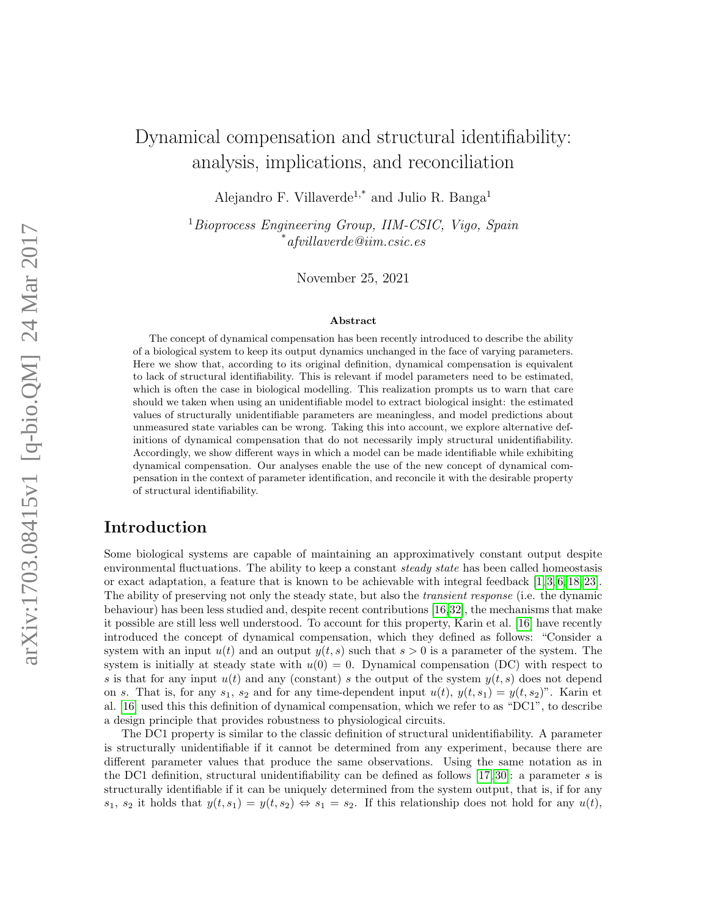# Dynamical compensation and structural identifiability: analysis, implications, and reconciliation

Alejandro F. Villaverde<sup>1,\*</sup> and Julio R. Banga<sup>1</sup>

<sup>1</sup> Bioprocess Engineering Group, IIM-CSIC, Vigo, Spain  $^*$ afvillaverde@iim.csic.es

November 25, 2021

#### Abstract

The concept of dynamical compensation has been recently introduced to describe the ability of a biological system to keep its output dynamics unchanged in the face of varying parameters. Here we show that, according to its original definition, dynamical compensation is equivalent to lack of structural identifiability. This is relevant if model parameters need to be estimated, which is often the case in biological modelling. This realization prompts us to warn that care should we taken when using an unidentifiable model to extract biological insight: the estimated values of structurally unidentifiable parameters are meaningless, and model predictions about unmeasured state variables can be wrong. Taking this into account, we explore alternative definitions of dynamical compensation that do not necessarily imply structural unidentifiability. Accordingly, we show different ways in which a model can be made identifiable while exhibiting dynamical compensation. Our analyses enable the use of the new concept of dynamical compensation in the context of parameter identification, and reconcile it with the desirable property of structural identifiability.

## Introduction

Some biological systems are capable of maintaining an approximatively constant output despite environmental fluctuations. The ability to keep a constant *steady state* has been called homeostasis or exact adaptation, a feature that is known to be achievable with integral feedback [\[1,](#page-12-0) [3,](#page-12-1) [6,](#page-12-2) [18,](#page-13-0) [23\]](#page-13-1). The ability of preserving not only the steady state, but also the transient response (i.e. the dynamic behaviour) has been less studied and, despite recent contributions [\[16,](#page-13-2)[32\]](#page-14-0), the mechanisms that make it possible are still less well understood. To account for this property, Karin et al. [\[16\]](#page-13-2) have recently introduced the concept of dynamical compensation, which they defined as follows: "Consider a system with an input  $u(t)$  and an output  $y(t, s)$  such that  $s > 0$  is a parameter of the system. The system is initially at steady state with  $u(0) = 0$ . Dynamical compensation (DC) with respect to s is that for any input  $u(t)$  and any (constant) s the output of the system  $y(t, s)$  does not depend on s. That is, for any  $s_1$ ,  $s_2$  and for any time-dependent input  $u(t)$ ,  $y(t, s_1) = y(t, s_2)$ ". Karin et al. [\[16\]](#page-13-2) used this this definition of dynamical compensation, which we refer to as "DC1", to describe a design principle that provides robustness to physiological circuits.

The DC1 property is similar to the classic definition of structural unidentifiability. A parameter is structurally unidentifiable if it cannot be determined from any experiment, because there are different parameter values that produce the same observations. Using the same notation as in the DC1 definition, structural unidentifiability can be defined as follows  $[17, 30]$  $[17, 30]$ : a parameter s is structurally identifiable if it can be uniquely determined from the system output, that is, if for any  $s_1, s_2$  it holds that  $y(t, s_1) = y(t, s_2) \Leftrightarrow s_1 = s_2$ . If this relationship does not hold for any  $u(t)$ ,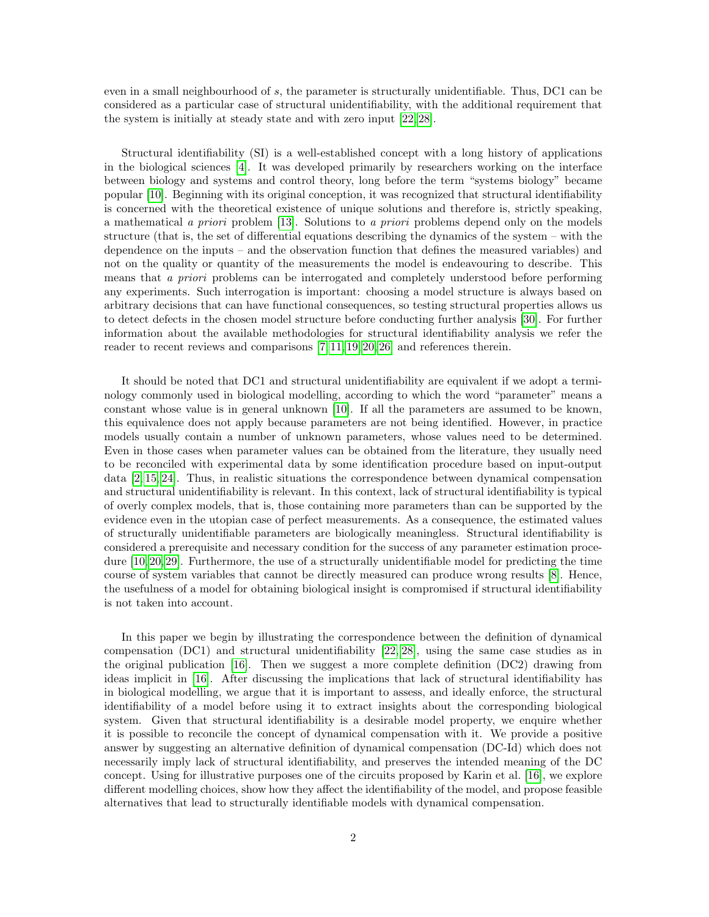even in a small neighbourhood of s, the parameter is structurally unidentifiable. Thus, DC1 can be considered as a particular case of structural unidentifiability, with the additional requirement that the system is initially at steady state and with zero input [\[22,](#page-13-4) [28\]](#page-13-5).

Structural identifiability (SI) is a well-established concept with a long history of applications in the biological sciences [\[4\]](#page-12-3). It was developed primarily by researchers working on the interface between biology and systems and control theory, long before the term "systems biology" became popular [\[10\]](#page-12-4). Beginning with its original conception, it was recognized that structural identifiability is concerned with the theoretical existence of unique solutions and therefore is, strictly speaking, a mathematical a priori problem [\[13\]](#page-13-6). Solutions to a priori problems depend only on the models structure (that is, the set of differential equations describing the dynamics of the system – with the dependence on the inputs – and the observation function that defines the measured variables) and not on the quality or quantity of the measurements the model is endeavouring to describe. This means that a priori problems can be interrogated and completely understood before performing any experiments. Such interrogation is important: choosing a model structure is always based on arbitrary decisions that can have functional consequences, so testing structural properties allows us to detect defects in the chosen model structure before conducting further analysis [\[30\]](#page-14-1). For further information about the available methodologies for structural identifiability analysis we refer the reader to recent reviews and comparisons [\[7,](#page-12-5) [11,](#page-13-7) [19,](#page-13-8) [20,](#page-13-9) [26\]](#page-13-10) and references therein.

It should be noted that DC1 and structural unidentifiability are equivalent if we adopt a terminology commonly used in biological modelling, according to which the word "parameter" means a constant whose value is in general unknown [\[10\]](#page-12-4). If all the parameters are assumed to be known, this equivalence does not apply because parameters are not being identified. However, in practice models usually contain a number of unknown parameters, whose values need to be determined. Even in those cases when parameter values can be obtained from the literature, they usually need to be reconciled with experimental data by some identification procedure based on input-output data [\[2,](#page-12-6) [15,](#page-13-11) [24\]](#page-13-12). Thus, in realistic situations the correspondence between dynamical compensation and structural unidentifiability is relevant. In this context, lack of structural identifiability is typical of overly complex models, that is, those containing more parameters than can be supported by the evidence even in the utopian case of perfect measurements. As a consequence, the estimated values of structurally unidentifiable parameters are biologically meaningless. Structural identifiability is considered a prerequisite and necessary condition for the success of any parameter estimation procedure [\[10,](#page-12-4) [20,](#page-13-9) [29\]](#page-13-13). Furthermore, the use of a structurally unidentifiable model for predicting the time course of system variables that cannot be directly measured can produce wrong results [\[8\]](#page-12-7). Hence, the usefulness of a model for obtaining biological insight is compromised if structural identifiability is not taken into account.

In this paper we begin by illustrating the correspondence between the definition of dynamical compensation (DC1) and structural unidentifiability [\[22,](#page-13-4) [28\]](#page-13-5), using the same case studies as in the original publication [\[16\]](#page-13-2). Then we suggest a more complete definition (DC2) drawing from ideas implicit in [\[16\]](#page-13-2). After discussing the implications that lack of structural identifiability has in biological modelling, we argue that it is important to assess, and ideally enforce, the structural identifiability of a model before using it to extract insights about the corresponding biological system. Given that structural identifiability is a desirable model property, we enquire whether it is possible to reconcile the concept of dynamical compensation with it. We provide a positive answer by suggesting an alternative definition of dynamical compensation (DC-Id) which does not necessarily imply lack of structural identifiability, and preserves the intended meaning of the DC concept. Using for illustrative purposes one of the circuits proposed by Karin et al. [\[16\]](#page-13-2), we explore different modelling choices, show how they affect the identifiability of the model, and propose feasible alternatives that lead to structurally identifiable models with dynamical compensation.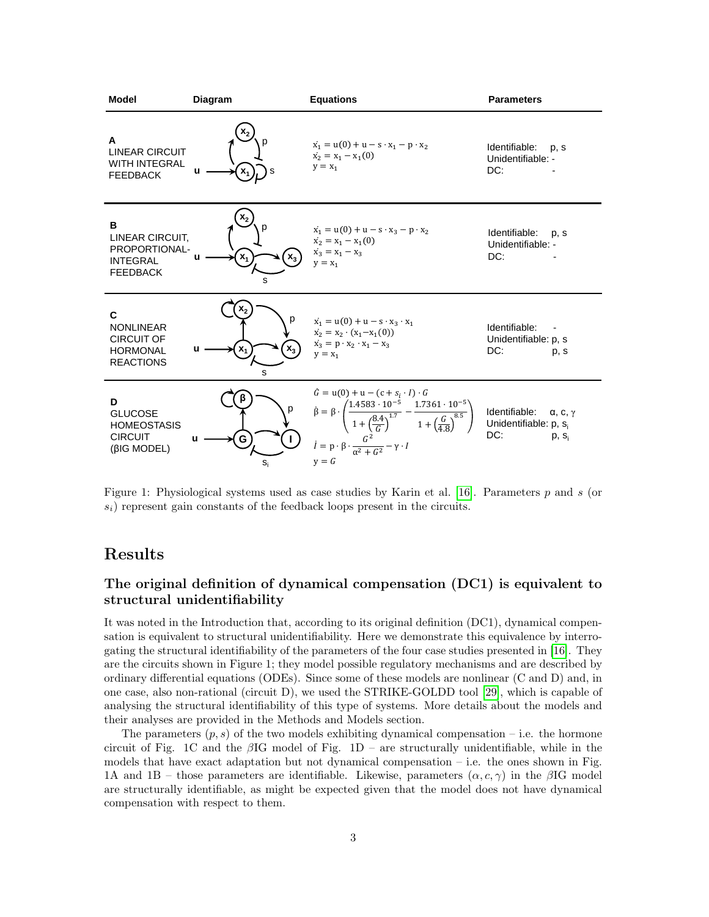

<span id="page-2-0"></span>Figure 1: Physiological systems used as case studies by Karin et al. [\[16\]](#page-13-2). Parameters p and s (or  $s_i$ ) represent gain constants of the feedback loops present in the circuits.

## Results

### The original definition of dynamical compensation (DC1) is equivalent to structural unidentifiability

It was noted in the Introduction that, according to its original definition (DC1), dynamical compensation is equivalent to structural unidentifiability. Here we demonstrate this equivalence by interrogating the structural identifiability of the parameters of the four case studies presented in [\[16\]](#page-13-2). They are the circuits shown in Figure 1; they model possible regulatory mechanisms and are described by ordinary differential equations (ODEs). Since some of these models are nonlinear (C and D) and, in one case, also non-rational (circuit D), we used the STRIKE-GOLDD tool [\[29\]](#page-13-13), which is capable of analysing the structural identifiability of this type of systems. More details about the models and their analyses are provided in the Methods and Models section.

The parameters  $(p, s)$  of the two models exhibiting dynamical compensation – i.e. the hormone circuit of Fig. 1C and the  $\beta$ IG model of Fig. 1D – are structurally unidentifiable, while in the models that have exact adaptation but not dynamical compensation  $-$  i.e. the ones shown in Fig. 1A and 1B – those parameters are identifiable. Likewise, parameters  $(\alpha, c, \gamma)$  in the  $\beta$ IG model are structurally identifiable, as might be expected given that the model does not have dynamical compensation with respect to them.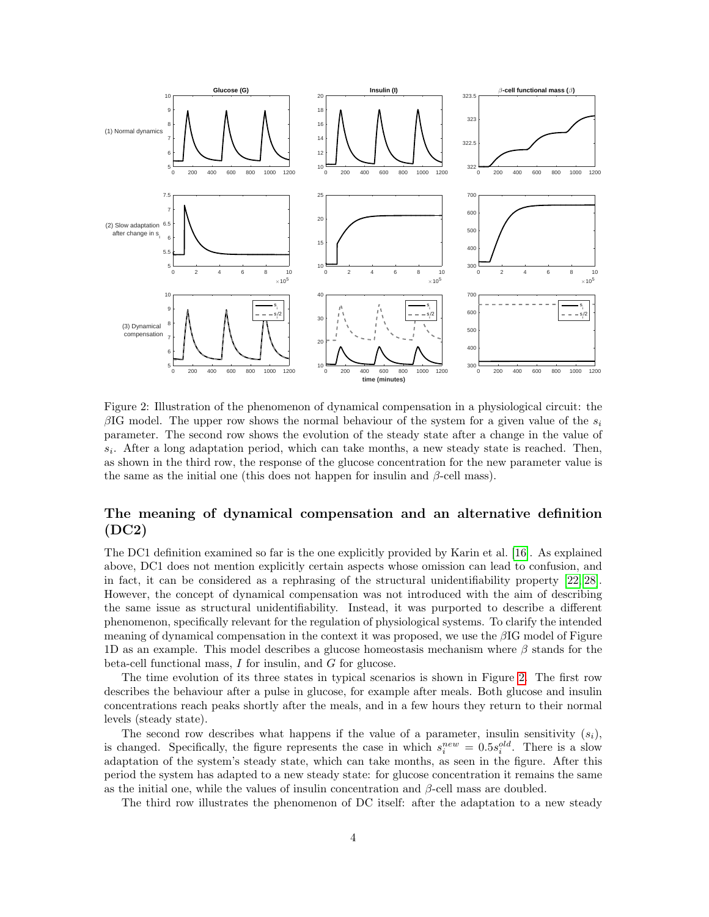

<span id="page-3-0"></span>Figure 2: Illustration of the phenomenon of dynamical compensation in a physiological circuit: the βIG model. The upper row shows the normal behaviour of the system for a given value of the  $s_i$ parameter. The second row shows the evolution of the steady state after a change in the value of  $s_i$ . After a long adaptation period, which can take months, a new steady state is reached. Then, as shown in the third row, the response of the glucose concentration for the new parameter value is the same as the initial one (this does not happen for insulin and  $\beta$ -cell mass).

### The meaning of dynamical compensation and an alternative definition (DC2)

The DC1 definition examined so far is the one explicitly provided by Karin et al. [\[16\]](#page-13-2). As explained above, DC1 does not mention explicitly certain aspects whose omission can lead to confusion, and in fact, it can be considered as a rephrasing of the structural unidentifiability property [\[22,](#page-13-4) [28\]](#page-13-5). However, the concept of dynamical compensation was not introduced with the aim of describing the same issue as structural unidentifiability. Instead, it was purported to describe a different phenomenon, specifically relevant for the regulation of physiological systems. To clarify the intended meaning of dynamical compensation in the context it was proposed, we use the  $\beta$ IG model of Figure 1D as an example. This model describes a glucose homeostasis mechanism where  $\beta$  stands for the beta-cell functional mass, I for insulin, and G for glucose.

The time evolution of its three states in typical scenarios is shown in Figure [2.](#page-3-0) The first row describes the behaviour after a pulse in glucose, for example after meals. Both glucose and insulin concentrations reach peaks shortly after the meals, and in a few hours they return to their normal levels (steady state).

The second row describes what happens if the value of a parameter, insulin sensitivity  $(s_i)$ , is changed. Specifically, the figure represents the case in which  $s_i^{new} = 0.5s_i^{old}$ . There is a slow adaptation of the system's steady state, which can take months, as seen in the figure. After this period the system has adapted to a new steady state: for glucose concentration it remains the same as the initial one, while the values of insulin concentration and  $\beta$ -cell mass are doubled.

The third row illustrates the phenomenon of DC itself: after the adaptation to a new steady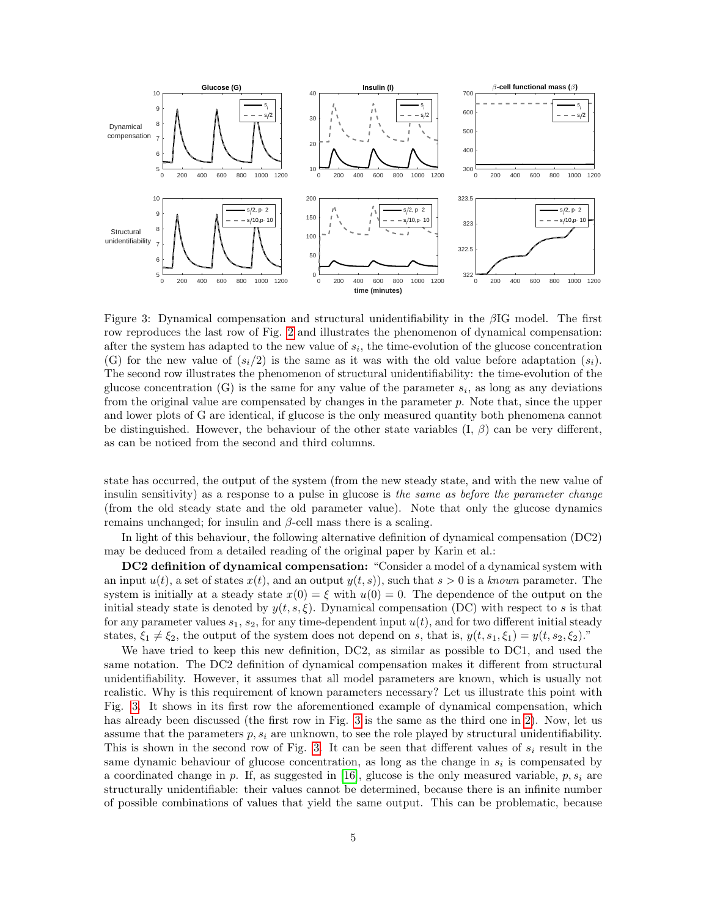

<span id="page-4-0"></span>Figure 3: Dynamical compensation and structural unidentifiability in the βIG model. The first row reproduces the last row of Fig. [2](#page-3-0) and illustrates the phenomenon of dynamical compensation: after the system has adapted to the new value of  $s_i$ , the time-evolution of the glucose concentration (G) for the new value of  $(s_i/2)$  is the same as it was with the old value before adaptation  $(s_i)$ . The second row illustrates the phenomenon of structural unidentifiability: the time-evolution of the glucose concentration  $(G)$  is the same for any value of the parameter  $s_i$ , as long as any deviations from the original value are compensated by changes in the parameter  $p$ . Note that, since the upper and lower plots of G are identical, if glucose is the only measured quantity both phenomena cannot be distinguished. However, the behaviour of the other state variables  $(I, \beta)$  can be very different, as can be noticed from the second and third columns.

state has occurred, the output of the system (from the new steady state, and with the new value of insulin sensitivity) as a response to a pulse in glucose is the same as before the parameter change (from the old steady state and the old parameter value). Note that only the glucose dynamics remains unchanged; for insulin and  $β$ -cell mass there is a scaling.

In light of this behaviour, the following alternative definition of dynamical compensation (DC2) may be deduced from a detailed reading of the original paper by Karin et al.:

DC2 definition of dynamical compensation: "Consider a model of a dynamical system with an input  $u(t)$ , a set of states  $x(t)$ , and an output  $y(t, s)$ , such that  $s > 0$  is a known parameter. The system is initially at a steady state  $x(0) = \xi$  with  $u(0) = 0$ . The dependence of the output on the initial steady state is denoted by  $y(t, s, \xi)$ . Dynamical compensation (DC) with respect to s is that for any parameter values  $s_1$ ,  $s_2$ , for any time-dependent input  $u(t)$ , and for two different initial steady states,  $\xi_1 \neq \xi_2$ , the output of the system does not depend on s, that is,  $y(t, s_1, \xi_1) = y(t, s_2, \xi_2)$ ."

We have tried to keep this new definition, DC2, as similar as possible to DC1, and used the same notation. The DC2 definition of dynamical compensation makes it different from structural unidentifiability. However, it assumes that all model parameters are known, which is usually not realistic. Why is this requirement of known parameters necessary? Let us illustrate this point with Fig. [3.](#page-4-0) It shows in its first row the aforementioned example of dynamical compensation, which has already been discussed (the first row in Fig. [3](#page-4-0) is the same as the third one in [2\)](#page-3-0). Now, let us assume that the parameters  $p, s_i$  are unknown, to see the role played by structural unidentifiability. This is shown in the second row of Fig. [3.](#page-4-0) It can be seen that different values of  $s_i$  result in the same dynamic behaviour of glucose concentration, as long as the change in  $s_i$  is compensated by a coordinated change in p. If, as suggested in [\[16\]](#page-13-2), glucose is the only measured variable,  $p, s_i$  are structurally unidentifiable: their values cannot be determined, because there is an infinite number of possible combinations of values that yield the same output. This can be problematic, because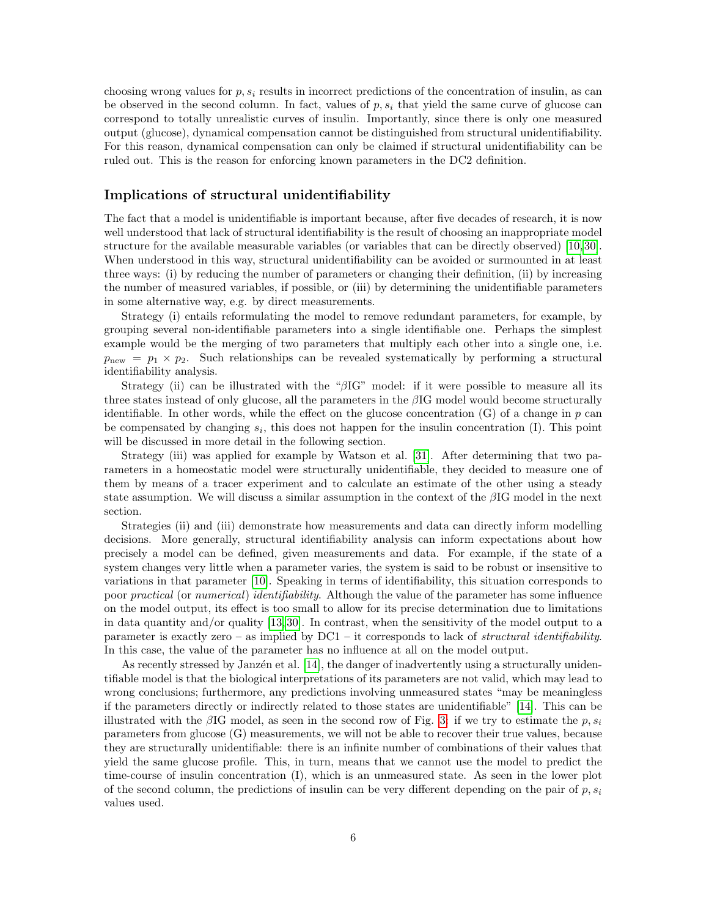choosing wrong values for  $p, s_i$  results in incorrect predictions of the concentration of insulin, as can be observed in the second column. In fact, values of  $p, s_i$  that yield the same curve of glucose can correspond to totally unrealistic curves of insulin. Importantly, since there is only one measured output (glucose), dynamical compensation cannot be distinguished from structural unidentifiability. For this reason, dynamical compensation can only be claimed if structural unidentifiability can be ruled out. This is the reason for enforcing known parameters in the DC2 definition.

### Implications of structural unidentifiability

The fact that a model is unidentifiable is important because, after five decades of research, it is now well understood that lack of structural identifiability is the result of choosing an inappropriate model structure for the available measurable variables (or variables that can be directly observed) [\[10,](#page-12-4) [30\]](#page-14-1). When understood in this way, structural unidentifiability can be avoided or surmounted in at least three ways: (i) by reducing the number of parameters or changing their definition, (ii) by increasing the number of measured variables, if possible, or (iii) by determining the unidentifiable parameters in some alternative way, e.g. by direct measurements.

Strategy (i) entails reformulating the model to remove redundant parameters, for example, by grouping several non-identifiable parameters into a single identifiable one. Perhaps the simplest example would be the merging of two parameters that multiply each other into a single one, i.e.  $p_{\text{new}} = p_1 \times p_2$ . Such relationships can be revealed systematically by performing a structural identifiability analysis.

Strategy (ii) can be illustrated with the " $\beta$ IG" model: if it were possible to measure all its three states instead of only glucose, all the parameters in the  $\beta$ IG model would become structurally identifiable. In other words, while the effect on the glucose concentration  $(G)$  of a change in p can be compensated by changing  $s_i$ , this does not happen for the insulin concentration (I). This point will be discussed in more detail in the following section.

Strategy (iii) was applied for example by Watson et al. [\[31\]](#page-14-2). After determining that two parameters in a homeostatic model were structurally unidentifiable, they decided to measure one of them by means of a tracer experiment and to calculate an estimate of the other using a steady state assumption. We will discuss a similar assumption in the context of the  $\beta$ IG model in the next section.

Strategies (ii) and (iii) demonstrate how measurements and data can directly inform modelling decisions. More generally, structural identifiability analysis can inform expectations about how precisely a model can be defined, given measurements and data. For example, if the state of a system changes very little when a parameter varies, the system is said to be robust or insensitive to variations in that parameter [\[10\]](#page-12-4). Speaking in terms of identifiability, this situation corresponds to poor *practical* (or numerical) identifiability. Although the value of the parameter has some influence on the model output, its effect is too small to allow for its precise determination due to limitations in data quantity and/or quality [\[13,](#page-13-6) [30\]](#page-14-1). In contrast, when the sensitivity of the model output to a parameter is exactly zero – as implied by  $DC1 - it$  corresponds to lack of *structural identifiability*. In this case, the value of the parameter has no influence at all on the model output.

As recently stressed by Janzén et al. [\[14\]](#page-13-14), the danger of inadvertently using a structurally unidentifiable model is that the biological interpretations of its parameters are not valid, which may lead to wrong conclusions; furthermore, any predictions involving unmeasured states "may be meaningless if the parameters directly or indirectly related to those states are unidentifiable" [\[14\]](#page-13-14). This can be illustrated with the  $\beta$ IG model, as seen in the second row of Fig. [3:](#page-4-0) if we try to estimate the p, s<sub>i</sub> parameters from glucose (G) measurements, we will not be able to recover their true values, because they are structurally unidentifiable: there is an infinite number of combinations of their values that yield the same glucose profile. This, in turn, means that we cannot use the model to predict the time-course of insulin concentration (I), which is an unmeasured state. As seen in the lower plot of the second column, the predictions of insulin can be very different depending on the pair of  $p, s_i$ values used.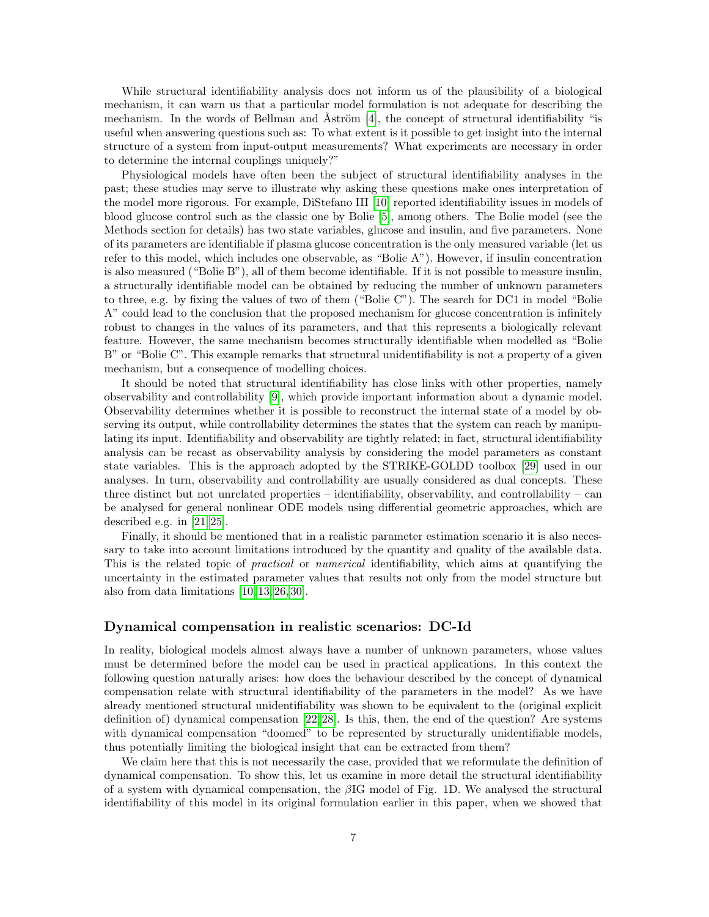While structural identifiability analysis does not inform us of the plausibility of a biological mechanism, it can warn us that a particular model formulation is not adequate for describing the mechanism. In the words of Bellman and Aström  $[4]$ , the concept of structural identifiability "is useful when answering questions such as: To what extent is it possible to get insight into the internal structure of a system from input-output measurements? What experiments are necessary in order to determine the internal couplings uniquely?"

Physiological models have often been the subject of structural identifiability analyses in the past; these studies may serve to illustrate why asking these questions make ones interpretation of the model more rigorous. For example, DiStefano III [\[10\]](#page-12-4) reported identifiability issues in models of blood glucose control such as the classic one by Bolie [\[5\]](#page-12-8), among others. The Bolie model (see the Methods section for details) has two state variables, glucose and insulin, and five parameters. None of its parameters are identifiable if plasma glucose concentration is the only measured variable (let us refer to this model, which includes one observable, as "Bolie A"). However, if insulin concentration is also measured ("Bolie B"), all of them become identifiable. If it is not possible to measure insulin, a structurally identifiable model can be obtained by reducing the number of unknown parameters to three, e.g. by fixing the values of two of them ("Bolie C"). The search for DC1 in model "Bolie A" could lead to the conclusion that the proposed mechanism for glucose concentration is infinitely robust to changes in the values of its parameters, and that this represents a biologically relevant feature. However, the same mechanism becomes structurally identifiable when modelled as "Bolie B" or "Bolie C". This example remarks that structural unidentifiability is not a property of a given mechanism, but a consequence of modelling choices.

It should be noted that structural identifiability has close links with other properties, namely observability and controllability [\[9\]](#page-12-9), which provide important information about a dynamic model. Observability determines whether it is possible to reconstruct the internal state of a model by observing its output, while controllability determines the states that the system can reach by manipulating its input. Identifiability and observability are tightly related; in fact, structural identifiability analysis can be recast as observability analysis by considering the model parameters as constant state variables. This is the approach adopted by the STRIKE-GOLDD toolbox [\[29\]](#page-13-13) used in our analyses. In turn, observability and controllability are usually considered as dual concepts. These three distinct but not unrelated properties – identifiability, observability, and controllability – can be analysed for general nonlinear ODE models using differential geometric approaches, which are described e.g. in [\[21,](#page-13-15) [25\]](#page-13-16).

Finally, it should be mentioned that in a realistic parameter estimation scenario it is also necessary to take into account limitations introduced by the quantity and quality of the available data. This is the related topic of *practical* or *numerical* identifiability, which aims at quantifying the uncertainty in the estimated parameter values that results not only from the model structure but also from data limitations [\[10,](#page-12-4) [13,](#page-13-6) [26,](#page-13-10) [30\]](#page-14-1).

### Dynamical compensation in realistic scenarios: DC-Id

In reality, biological models almost always have a number of unknown parameters, whose values must be determined before the model can be used in practical applications. In this context the following question naturally arises: how does the behaviour described by the concept of dynamical compensation relate with structural identifiability of the parameters in the model? As we have already mentioned structural unidentifiability was shown to be equivalent to the (original explicit definition of) dynamical compensation [\[22,](#page-13-4) [28\]](#page-13-5). Is this, then, the end of the question? Are systems with dynamical compensation "doomed" to be represented by structurally unidentifiable models, thus potentially limiting the biological insight that can be extracted from them?

We claim here that this is not necessarily the case, provided that we reformulate the definition of dynamical compensation. To show this, let us examine in more detail the structural identifiability of a system with dynamical compensation, the  $\beta$ IG model of Fig. 1D. We analysed the structural identifiability of this model in its original formulation earlier in this paper, when we showed that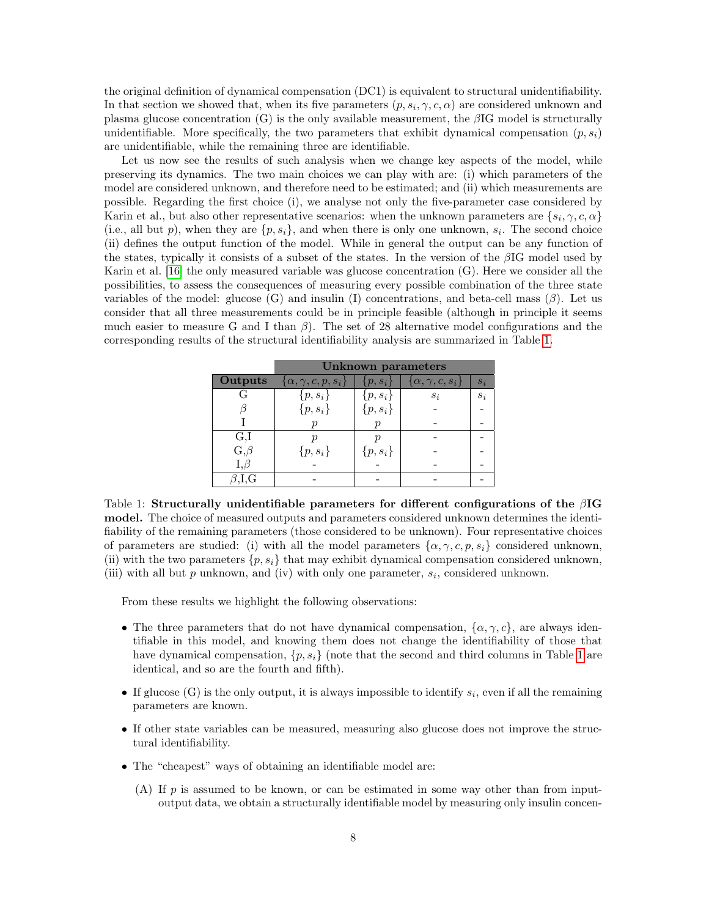the original definition of dynamical compensation (DC1) is equivalent to structural unidentifiability. In that section we showed that, when its five parameters  $(p, s_i, \gamma, c, \alpha)$  are considered unknown and plasma glucose concentration  $(G)$  is the only available measurement, the  $\beta$ IG model is structurally unidentifiable. More specifically, the two parameters that exhibit dynamical compensation  $(p, s_i)$ are unidentifiable, while the remaining three are identifiable.

Let us now see the results of such analysis when we change key aspects of the model, while preserving its dynamics. The two main choices we can play with are: (i) which parameters of the model are considered unknown, and therefore need to be estimated; and (ii) which measurements are possible. Regarding the first choice (i), we analyse not only the five-parameter case considered by Karin et al., but also other representative scenarios: when the unknown parameters are  $\{s_i, \gamma, c, \alpha\}$ (i.e., all but p), when they are  $\{p, s_i\}$ , and when there is only one unknown,  $s_i$ . The second choice (ii) defines the output function of the model. While in general the output can be any function of the states, typically it consists of a subset of the states. In the version of the βIG model used by Karin et al. [\[16\]](#page-13-2) the only measured variable was glucose concentration (G). Here we consider all the possibilities, to assess the consequences of measuring every possible combination of the three state variables of the model: glucose (G) and insulin (I) concentrations, and beta-cell mass  $(\beta)$ . Let us consider that all three measurements could be in principle feasible (although in principle it seems much easier to measure G and I than  $\beta$ ). The set of 28 alternative model configurations and the corresponding results of the structural identifiability analysis are summarized in Table [1.](#page-7-0)

|                | <b>Unknown parameters</b>       |             |                                          |       |
|----------------|---------------------------------|-------------|------------------------------------------|-------|
| <b>Outputs</b> | $\{\alpha, \gamma, c, p, s_i\}$ | $\{p,s_i\}$ | $\vert \{\alpha, \gamma, c, s_i\} \vert$ | $s_i$ |
| G              | $\{p,s_i\}$                     | $\{p,s_i\}$ | $S_i$                                    | $S_i$ |
|                | $\{p,s_i\}$                     | $\{p,s_i\}$ |                                          |       |
|                |                                 |             |                                          |       |
| G,I            |                                 |             |                                          |       |
| $G,\beta$      | $\{p,s_i\}$                     | $\{p,s_i\}$ |                                          |       |
| $I, \beta$     |                                 |             |                                          |       |
| '.I.G          |                                 |             |                                          |       |

<span id="page-7-0"></span>Table 1: Structurally unidentifiable parameters for different configurations of the  $\beta I$ G model. The choice of measured outputs and parameters considered unknown determines the identifiability of the remaining parameters (those considered to be unknown). Four representative choices of parameters are studied: (i) with all the model parameters  $\{\alpha, \gamma, c, p, s_i\}$  considered unknown, (ii) with the two parameters  $\{p, s_i\}$  that may exhibit dynamical compensation considered unknown, (iii) with all but  $p$  unknown, and (iv) with only one parameter,  $s_i$ , considered unknown.

From these results we highlight the following observations:

- The three parameters that do not have dynamical compensation,  $\{\alpha, \gamma, c\}$ , are always identifiable in this model, and knowing them does not change the identifiability of those that have dynamical compensation,  $\{p, s_i\}$  (note that the second and third columns in Table [1](#page-7-0) are identical, and so are the fourth and fifth).
- If glucose (G) is the only output, it is always impossible to identify  $s_i$ , even if all the remaining parameters are known.
- If other state variables can be measured, measuring also glucose does not improve the structural identifiability.
- The "cheapest" ways of obtaining an identifiable model are:
	- (A) If  $p$  is assumed to be known, or can be estimated in some way other than from inputoutput data, we obtain a structurally identifiable model by measuring only insulin concen-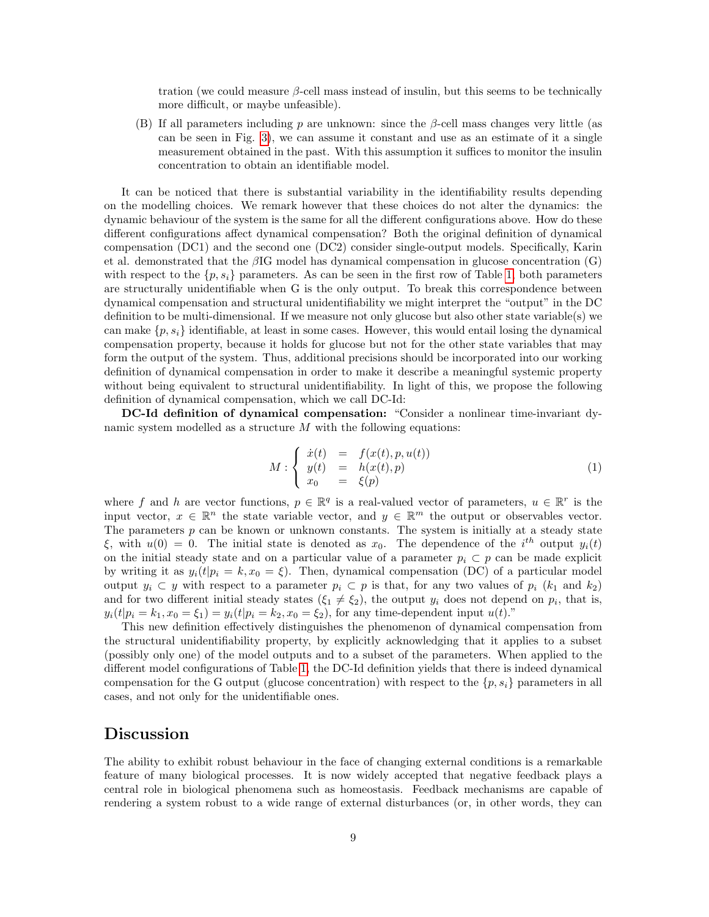tration (we could measure  $\beta$ -cell mass instead of insulin, but this seems to be technically more difficult, or maybe unfeasible).

(B) If all parameters including p are unknown: since the  $\beta$ -cell mass changes very little (as can be seen in Fig. [3\)](#page-4-0), we can assume it constant and use as an estimate of it a single measurement obtained in the past. With this assumption it suffices to monitor the insulin concentration to obtain an identifiable model.

It can be noticed that there is substantial variability in the identifiability results depending on the modelling choices. We remark however that these choices do not alter the dynamics: the dynamic behaviour of the system is the same for all the different configurations above. How do these different configurations affect dynamical compensation? Both the original definition of dynamical compensation (DC1) and the second one (DC2) consider single-output models. Specifically, Karin et al. demonstrated that the  $\beta$ IG model has dynamical compensation in glucose concentration (G) with respect to the  $\{p, s_i\}$  parameters. As can be seen in the first row of Table [1,](#page-7-0) both parameters are structurally unidentifiable when G is the only output. To break this correspondence between dynamical compensation and structural unidentifiability we might interpret the "output" in the DC definition to be multi-dimensional. If we measure not only glucose but also other state variable(s) we can make  $\{p, s_i\}$  identifiable, at least in some cases. However, this would entail losing the dynamical compensation property, because it holds for glucose but not for the other state variables that may form the output of the system. Thus, additional precisions should be incorporated into our working definition of dynamical compensation in order to make it describe a meaningful systemic property without being equivalent to structural unidentifiability. In light of this, we propose the following definition of dynamical compensation, which we call DC-Id:

DC-Id definition of dynamical compensation: "Consider a nonlinear time-invariant dynamic system modelled as a structure  $M$  with the following equations:

$$
M: \begin{cases} \dot{x}(t) & = & f(x(t), p, u(t)) \\ y(t) & = & h(x(t), p) \\ x_0 & = & \xi(p) \end{cases}
$$
 (1)

where f and h are vector functions,  $p \in \mathbb{R}^q$  is a real-valued vector of parameters,  $u \in \mathbb{R}^r$  is the input vector,  $x \in \mathbb{R}^n$  the state variable vector, and  $y \in \mathbb{R}^m$  the output or observables vector. The parameters  $p$  can be known or unknown constants. The system is initially at a steady state  $\xi$ , with  $u(0) = 0$ . The initial state is denoted as  $x_0$ . The dependence of the i<sup>th</sup> output  $y_i(t)$ on the initial steady state and on a particular value of a parameter  $p_i \,\subset p$  can be made explicit by writing it as  $y_i(t|p_i = k, x_0 = \xi)$ . Then, dynamical compensation (DC) of a particular model output  $y_i \subset y$  with respect to a parameter  $p_i \subset p$  is that, for any two values of  $p_i$  ( $k_1$  and  $k_2$ ) and for two different initial steady states  $(\xi_1 \neq \xi_2)$ , the output  $y_i$  does not depend on  $p_i$ , that is,  $y_i(t|p_i = k_1, x_0 = \xi_1) = y_i(t|p_i = k_2, x_0 = \xi_2)$ , for any time-dependent input  $u(t)$ ."

This new definition effectively distinguishes the phenomenon of dynamical compensation from the structural unidentifiability property, by explicitly acknowledging that it applies to a subset (possibly only one) of the model outputs and to a subset of the parameters. When applied to the different model configurations of Table [1,](#page-7-0) the DC-Id definition yields that there is indeed dynamical compensation for the G output (glucose concentration) with respect to the  $\{p, s_i\}$  parameters in all cases, and not only for the unidentifiable ones.

### Discussion

The ability to exhibit robust behaviour in the face of changing external conditions is a remarkable feature of many biological processes. It is now widely accepted that negative feedback plays a central role in biological phenomena such as homeostasis. Feedback mechanisms are capable of rendering a system robust to a wide range of external disturbances (or, in other words, they can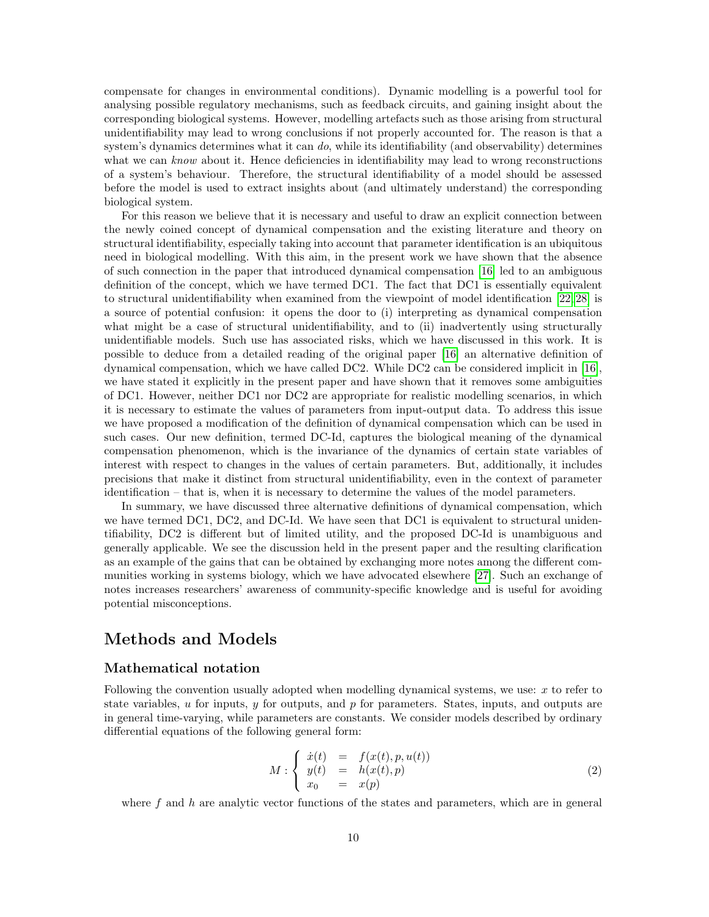compensate for changes in environmental conditions). Dynamic modelling is a powerful tool for analysing possible regulatory mechanisms, such as feedback circuits, and gaining insight about the corresponding biological systems. However, modelling artefacts such as those arising from structural unidentifiability may lead to wrong conclusions if not properly accounted for. The reason is that a system's dynamics determines what it can  $do$ , while its identifiability (and observability) determines what we can know about it. Hence deficiencies in identifiability may lead to wrong reconstructions of a system's behaviour. Therefore, the structural identifiability of a model should be assessed before the model is used to extract insights about (and ultimately understand) the corresponding biological system.

For this reason we believe that it is necessary and useful to draw an explicit connection between the newly coined concept of dynamical compensation and the existing literature and theory on structural identifiability, especially taking into account that parameter identification is an ubiquitous need in biological modelling. With this aim, in the present work we have shown that the absence of such connection in the paper that introduced dynamical compensation [\[16\]](#page-13-2) led to an ambiguous definition of the concept, which we have termed DC1. The fact that DC1 is essentially equivalent to structural unidentifiability when examined from the viewpoint of model identification [\[22,](#page-13-4) [28\]](#page-13-5) is a source of potential confusion: it opens the door to (i) interpreting as dynamical compensation what might be a case of structural unidentifiability, and to (ii) inadvertently using structurally unidentifiable models. Such use has associated risks, which we have discussed in this work. It is possible to deduce from a detailed reading of the original paper [\[16\]](#page-13-2) an alternative definition of dynamical compensation, which we have called DC2. While DC2 can be considered implicit in [\[16\]](#page-13-2), we have stated it explicitly in the present paper and have shown that it removes some ambiguities of DC1. However, neither DC1 nor DC2 are appropriate for realistic modelling scenarios, in which it is necessary to estimate the values of parameters from input-output data. To address this issue we have proposed a modification of the definition of dynamical compensation which can be used in such cases. Our new definition, termed DC-Id, captures the biological meaning of the dynamical compensation phenomenon, which is the invariance of the dynamics of certain state variables of interest with respect to changes in the values of certain parameters. But, additionally, it includes precisions that make it distinct from structural unidentifiability, even in the context of parameter identification – that is, when it is necessary to determine the values of the model parameters.

In summary, we have discussed three alternative definitions of dynamical compensation, which we have termed DC1, DC2, and DC-Id. We have seen that DC1 is equivalent to structural unidentifiability, DC2 is different but of limited utility, and the proposed DC-Id is unambiguous and generally applicable. We see the discussion held in the present paper and the resulting clarification as an example of the gains that can be obtained by exchanging more notes among the different communities working in systems biology, which we have advocated elsewhere [\[27\]](#page-13-17). Such an exchange of notes increases researchers' awareness of community-specific knowledge and is useful for avoiding potential misconceptions.

## Methods and Models

### Mathematical notation

Following the convention usually adopted when modelling dynamical systems, we use: x to refer to state variables,  $u$  for inputs,  $y$  for outputs, and  $p$  for parameters. States, inputs, and outputs are in general time-varying, while parameters are constants. We consider models described by ordinary differential equations of the following general form:

<span id="page-9-0"></span>
$$
M: \begin{cases} \dot{x}(t) & = & f(x(t), p, u(t)) \\ y(t) & = & h(x(t), p) \\ x_0 & = & x(p) \end{cases}
$$
 (2)

where  $f$  and  $h$  are analytic vector functions of the states and parameters, which are in general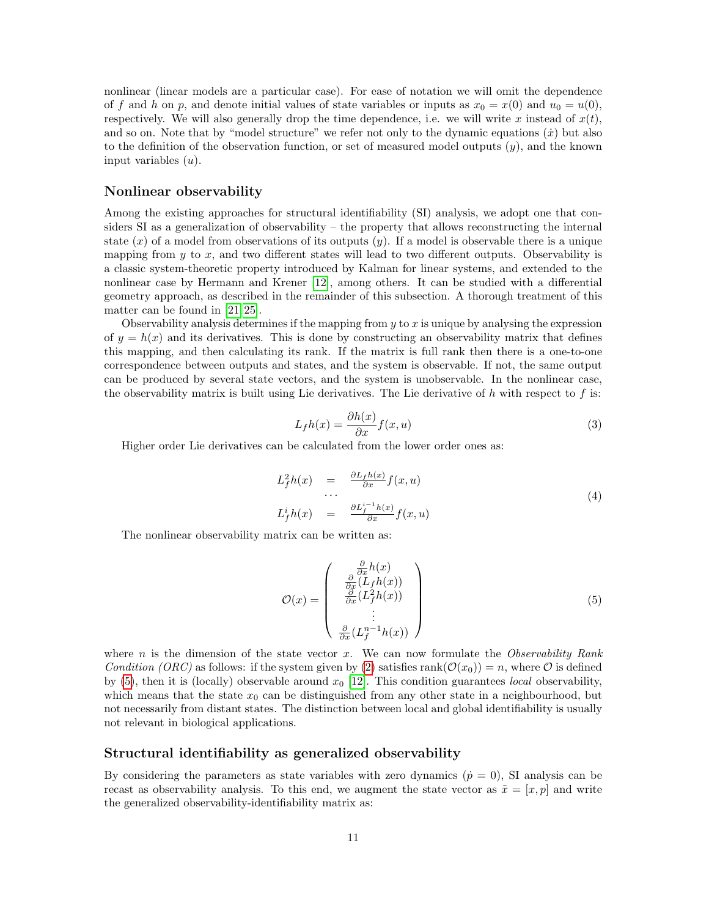nonlinear (linear models are a particular case). For ease of notation we will omit the dependence of f and h on p, and denote initial values of state variables or inputs as  $x_0 = x(0)$  and  $u_0 = u(0)$ , respectively. We will also generally drop the time dependence, i.e. we will write x instead of  $x(t)$ , and so on. Note that by "model structure" we refer not only to the dynamic equations  $(\dot{x})$  but also to the definition of the observation function, or set of measured model outputs  $(y)$ , and the known input variables  $(u)$ .

### Nonlinear observability

Among the existing approaches for structural identifiability (SI) analysis, we adopt one that considers SI as a generalization of observability – the property that allows reconstructing the internal state  $(x)$  of a model from observations of its outputs  $(y)$ . If a model is observable there is a unique mapping from  $y$  to  $x$ , and two different states will lead to two different outputs. Observability is a classic system-theoretic property introduced by Kalman for linear systems, and extended to the nonlinear case by Hermann and Krener [\[12\]](#page-13-18), among others. It can be studied with a differential geometry approach, as described in the remainder of this subsection. A thorough treatment of this matter can be found in [\[21,](#page-13-15) [25\]](#page-13-16).

Observability analysis determines if the mapping from  $y$  to  $x$  is unique by analysing the expression of  $y = h(x)$  and its derivatives. This is done by constructing an observability matrix that defines this mapping, and then calculating its rank. If the matrix is full rank then there is a one-to-one correspondence between outputs and states, and the system is observable. If not, the same output can be produced by several state vectors, and the system is unobservable. In the nonlinear case, the observability matrix is built using Lie derivatives. The Lie derivative of  $h$  with respect to  $f$  is:

$$
L_f h(x) = \frac{\partial h(x)}{\partial x} f(x, u)
$$
\n(3)

Higher order Lie derivatives can be calculated from the lower order ones as:

$$
L_f^2 h(x) = \frac{\partial L_f h(x)}{\partial x} f(x, u)
$$
  
...  

$$
L_f^i h(x) = \frac{\partial L_f^{i-1} h(x)}{\partial x} f(x, u)
$$
 (4)

The nonlinear observability matrix can be written as:

<span id="page-10-0"></span>
$$
\mathcal{O}(x) = \begin{pmatrix} \frac{\partial}{\partial x}h(x) \\ \frac{\partial}{\partial x}(L_f h(x)) \\ \frac{\partial}{\partial x}(L_f^2 h(x)) \\ \vdots \\ \frac{\partial}{\partial x}(L_f^{n-1} h(x)) \end{pmatrix}
$$
(5)

where n is the dimension of the state vector x. We can now formulate the Observability Rank Condition (ORC) as follows: if the system given by [\(2\)](#page-9-0) satisfies rank( $\mathcal{O}(x_0)$ ) = n, where  $\mathcal O$  is defined by [\(5\)](#page-10-0), then it is (locally) observable around  $x_0$  [\[12\]](#page-13-18). This condition guarantees *local* observability, which means that the state  $x_0$  can be distinguished from any other state in a neighbourhood, but not necessarily from distant states. The distinction between local and global identifiability is usually not relevant in biological applications.

#### Structural identifiability as generalized observability

By considering the parameters as state variables with zero dynamics  $(\dot{p} = 0)$ , SI analysis can be recast as observability analysis. To this end, we augment the state vector as  $\tilde{x} = [x, p]$  and write the generalized observability-identifiability matrix as: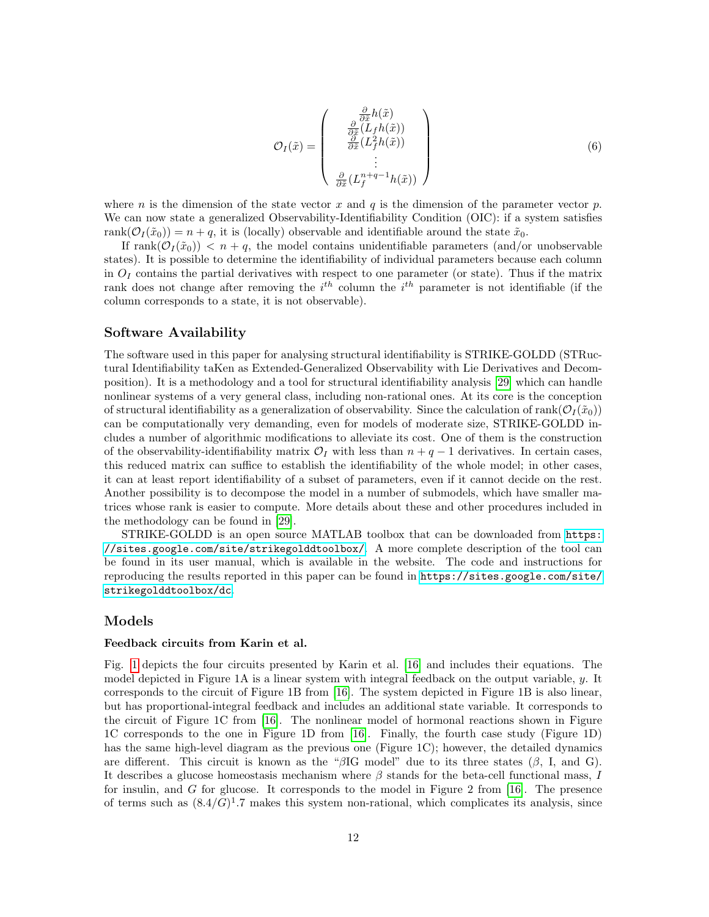$$
\mathcal{O}_{I}(\tilde{x}) = \begin{pmatrix} \frac{\partial}{\partial \tilde{x}} h(\tilde{x}) \\ \frac{\partial}{\partial \tilde{x}} (L_{f} h(\tilde{x})) \\ \frac{\partial}{\partial \tilde{x}} (L_{f}^{2} h(\tilde{x})) \\ \vdots \\ \frac{\partial}{\partial \tilde{x}} (L_{f}^{n+q-1} h(\tilde{x})) \end{pmatrix}
$$
(6)

where n is the dimension of the state vector x and q is the dimension of the parameter vector p. We can now state a generalized Observability-Identifiability Condition (OIC): if a system satisfies rank $(\mathcal{O}_I(\tilde{x}_0)) = n + q$ , it is (locally) observable and identifiable around the state  $\tilde{x}_0$ .

If rank $(\mathcal{O}_I(\tilde{x}_0))$  <  $n + q$ , the model contains unidentifiable parameters (and/or unobservable states). It is possible to determine the identifiability of individual parameters because each column in  $O<sub>I</sub>$  contains the partial derivatives with respect to one parameter (or state). Thus if the matrix rank does not change after removing the  $i<sup>th</sup>$  column the  $i<sup>th</sup>$  parameter is not identifiable (if the column corresponds to a state, it is not observable).

#### Software Availability

The software used in this paper for analysing structural identifiability is STRIKE-GOLDD (STRuctural Identifiability taKen as Extended-Generalized Observability with Lie Derivatives and Decomposition). It is a methodology and a tool for structural identifiability analysis [\[29\]](#page-13-13) which can handle nonlinear systems of a very general class, including non-rational ones. At its core is the conception of structural identifiability as a generalization of observability. Since the calculation of rank( $\mathcal{O}_I(\tilde{x}_0)$ ) can be computationally very demanding, even for models of moderate size, STRIKE-GOLDD includes a number of algorithmic modifications to alleviate its cost. One of them is the construction of the observability-identifiability matrix  $\mathcal{O}_I$  with less than  $n + q - 1$  derivatives. In certain cases, this reduced matrix can suffice to establish the identifiability of the whole model; in other cases, it can at least report identifiability of a subset of parameters, even if it cannot decide on the rest. Another possibility is to decompose the model in a number of submodels, which have smaller matrices whose rank is easier to compute. More details about these and other procedures included in the methodology can be found in [\[29\]](#page-13-13).

STRIKE-GOLDD is an open source MATLAB toolbox that can be downloaded from [https:](https://sites.google.com/site/strikegolddtoolbox/) [//sites.google.com/site/strikegolddtoolbox/](https://sites.google.com/site/strikegolddtoolbox/). A more complete description of the tool can be found in its user manual, which is available in the website. The code and instructions for reproducing the results reported in this paper can be found in [https://sites.google.com/site/](https://sites.google.com/site/strikegolddtoolbox/dc) [strikegolddtoolbox/dc](https://sites.google.com/site/strikegolddtoolbox/dc).

#### Models

#### Feedback circuits from Karin et al.

Fig. [1](#page-2-0) depicts the four circuits presented by Karin et al. [\[16\]](#page-13-2) and includes their equations. The model depicted in Figure 1A is a linear system with integral feedback on the output variable, y. It corresponds to the circuit of Figure 1B from [\[16\]](#page-13-2). The system depicted in Figure 1B is also linear, but has proportional-integral feedback and includes an additional state variable. It corresponds to the circuit of Figure 1C from [\[16\]](#page-13-2). The nonlinear model of hormonal reactions shown in Figure 1C corresponds to the one in Figure 1D from [\[16\]](#page-13-2). Finally, the fourth case study (Figure 1D) has the same high-level diagram as the previous one (Figure 1C); however, the detailed dynamics are different. This circuit is known as the " $\beta$ IG model" due to its three states ( $\beta$ , I, and G). It describes a glucose homeostasis mechanism where  $\beta$  stands for the beta-cell functional mass, I for insulin, and  $G$  for glucose. It corresponds to the model in Figure 2 from  $[16]$ . The presence of terms such as  $(8.4/G)^1$ . 7 makes this system non-rational, which complicates its analysis, since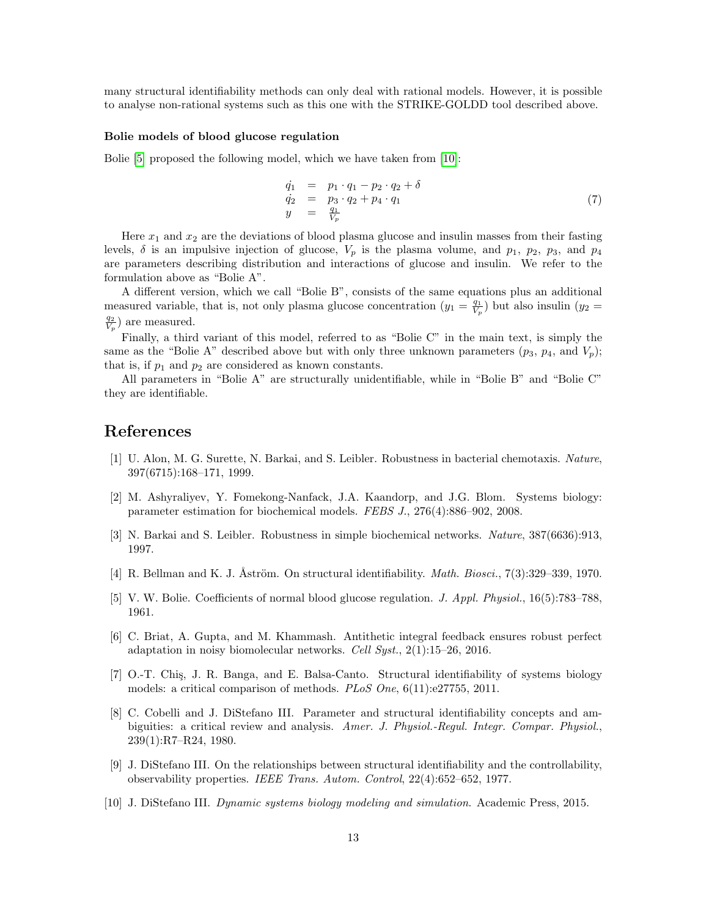many structural identifiability methods can only deal with rational models. However, it is possible to analyse non-rational systems such as this one with the STRIKE-GOLDD tool described above.

#### Bolie models of blood glucose regulation

Bolie [\[5\]](#page-12-8) proposed the following model, which we have taken from [\[10\]](#page-12-4):

$$
\begin{array}{rcl}\n\dot{q}_1 &=& p_1 \cdot q_1 - p_2 \cdot q_2 + \delta \\
\dot{q}_2 &=& p_3 \cdot q_2 + p_4 \cdot q_1 \\
y &=& \frac{q_1}{V_p}\n\end{array} \tag{7}
$$

Here  $x_1$  and  $x_2$  are the deviations of blood plasma glucose and insulin masses from their fasting levels,  $\delta$  is an impulsive injection of glucose,  $V_p$  is the plasma volume, and  $p_1$ ,  $p_2$ ,  $p_3$ , and  $p_4$ are parameters describing distribution and interactions of glucose and insulin. We refer to the formulation above as "Bolie A".

A different version, which we call "Bolie B", consists of the same equations plus an additional measured variable, that is, not only plasma glucose concentration  $(y_1 = \frac{q_1}{V_p})$  but also insulin  $(y_2 =$  $\frac{q_2}{V_p}$ ) are measured.

Finally, a third variant of this model, referred to as "Bolie C" in the main text, is simply the same as the "Bolie A" described above but with only three unknown parameters  $(p_3, p_4,$  and  $V_p)$ ; that is, if  $p_1$  and  $p_2$  are considered as known constants.

All parameters in "Bolie A" are structurally unidentifiable, while in "Bolie B" and "Bolie C" they are identifiable.

## References

- <span id="page-12-0"></span>[1] U. Alon, M. G. Surette, N. Barkai, and S. Leibler. Robustness in bacterial chemotaxis. Nature, 397(6715):168–171, 1999.
- <span id="page-12-6"></span>[2] M. Ashyraliyev, Y. Fomekong-Nanfack, J.A. Kaandorp, and J.G. Blom. Systems biology: parameter estimation for biochemical models. FEBS J., 276(4):886–902, 2008.
- <span id="page-12-1"></span>[3] N. Barkai and S. Leibler. Robustness in simple biochemical networks. Nature, 387(6636):913, 1997.
- <span id="page-12-3"></span>[4] R. Bellman and K. J. Åström. On structural identifiability. *Math. Biosci.*,  $7(3):329-339, 1970$ .
- <span id="page-12-8"></span>[5] V. W. Bolie. Coefficients of normal blood glucose regulation. J. Appl. Physiol., 16(5):783–788, 1961.
- <span id="page-12-2"></span>[6] C. Briat, A. Gupta, and M. Khammash. Antithetic integral feedback ensures robust perfect adaptation in noisy biomolecular networks. Cell Syst., 2(1):15–26, 2016.
- <span id="page-12-5"></span>[7] O.-T. Chiş, J. R. Banga, and E. Balsa-Canto. Structural identifiability of systems biology models: a critical comparison of methods. PLoS One, 6(11):e27755, 2011.
- <span id="page-12-7"></span>[8] C. Cobelli and J. DiStefano III. Parameter and structural identifiability concepts and ambiguities: a critical review and analysis. Amer. J. Physiol.-Regul. Integr. Compar. Physiol., 239(1):R7–R24, 1980.
- <span id="page-12-9"></span>[9] J. DiStefano III. On the relationships between structural identifiability and the controllability, observability properties. IEEE Trans. Autom. Control, 22(4):652–652, 1977.
- <span id="page-12-4"></span>[10] J. DiStefano III. Dynamic systems biology modeling and simulation. Academic Press, 2015.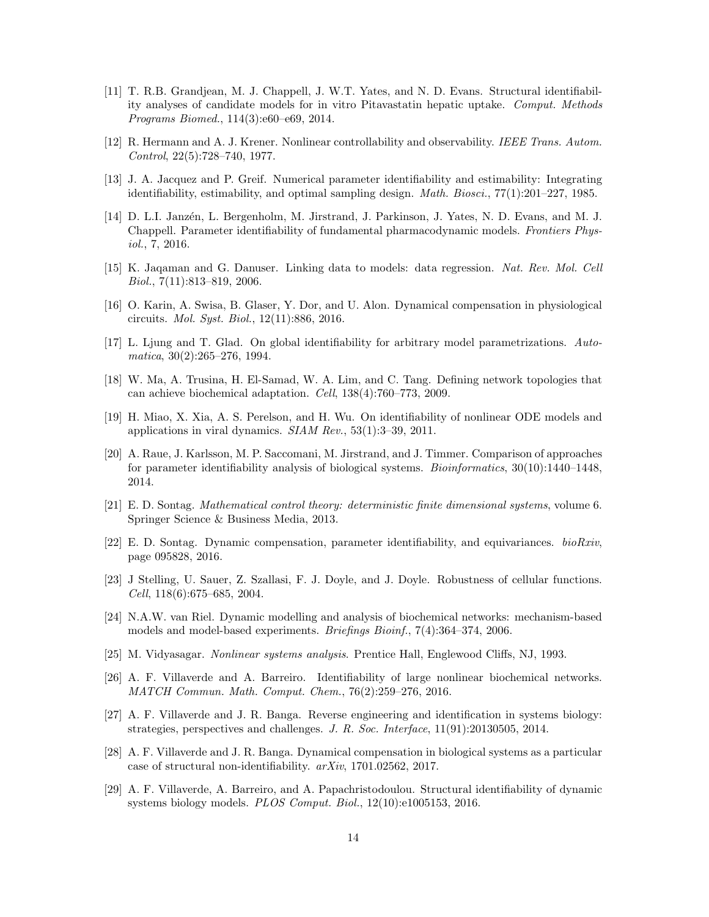- <span id="page-13-7"></span>[11] T. R.B. Grandjean, M. J. Chappell, J. W.T. Yates, and N. D. Evans. Structural identifiability analyses of candidate models for in vitro Pitavastatin hepatic uptake. Comput. Methods Programs Biomed., 114(3):e60–e69, 2014.
- <span id="page-13-18"></span>[12] R. Hermann and A. J. Krener. Nonlinear controllability and observability. IEEE Trans. Autom. Control, 22(5):728–740, 1977.
- <span id="page-13-6"></span>[13] J. A. Jacquez and P. Greif. Numerical parameter identifiability and estimability: Integrating identifiability, estimability, and optimal sampling design. *Math. Biosci.*,  $77(1):201-227$ , 1985.
- <span id="page-13-14"></span>[14] D. L.I. Janzén, L. Bergenholm, M. Jirstrand, J. Parkinson, J. Yates, N. D. Evans, and M. J. Chappell. Parameter identifiability of fundamental pharmacodynamic models. Frontiers Physiol., 7, 2016.
- <span id="page-13-11"></span>[15] K. Jaqaman and G. Danuser. Linking data to models: data regression. Nat. Rev. Mol. Cell Biol., 7(11):813–819, 2006.
- <span id="page-13-2"></span>[16] O. Karin, A. Swisa, B. Glaser, Y. Dor, and U. Alon. Dynamical compensation in physiological circuits. Mol. Syst. Biol., 12(11):886, 2016.
- <span id="page-13-3"></span>[17] L. Ljung and T. Glad. On global identifiability for arbitrary model parametrizations. Automatica, 30(2):265–276, 1994.
- <span id="page-13-0"></span>[18] W. Ma, A. Trusina, H. El-Samad, W. A. Lim, and C. Tang. Defining network topologies that can achieve biochemical adaptation. Cell, 138(4):760–773, 2009.
- <span id="page-13-8"></span>[19] H. Miao, X. Xia, A. S. Perelson, and H. Wu. On identifiability of nonlinear ODE models and applications in viral dynamics.  $SIAM$   $Rev$ ,  $53(1):3-39$ ,  $2011$ .
- <span id="page-13-9"></span>[20] A. Raue, J. Karlsson, M. P. Saccomani, M. Jirstrand, and J. Timmer. Comparison of approaches for parameter identifiability analysis of biological systems. Bioinformatics, 30(10):1440–1448, 2014.
- <span id="page-13-15"></span>[21] E. D. Sontag. Mathematical control theory: deterministic finite dimensional systems, volume 6. Springer Science & Business Media, 2013.
- <span id="page-13-4"></span>[22] E. D. Sontag. Dynamic compensation, parameter identifiability, and equivariances. bioRxiv, page 095828, 2016.
- <span id="page-13-1"></span>[23] J Stelling, U. Sauer, Z. Szallasi, F. J. Doyle, and J. Doyle. Robustness of cellular functions. Cell, 118(6):675–685, 2004.
- <span id="page-13-12"></span>[24] N.A.W. van Riel. Dynamic modelling and analysis of biochemical networks: mechanism-based models and model-based experiments. Briefings Bioinf., 7(4):364-374, 2006.
- <span id="page-13-16"></span>[25] M. Vidyasagar. Nonlinear systems analysis. Prentice Hall, Englewood Cliffs, NJ, 1993.
- <span id="page-13-10"></span>[26] A. F. Villaverde and A. Barreiro. Identifiability of large nonlinear biochemical networks. MATCH Commun. Math. Comput. Chem., 76(2):259–276, 2016.
- <span id="page-13-17"></span>[27] A. F. Villaverde and J. R. Banga. Reverse engineering and identification in systems biology: strategies, perspectives and challenges. J. R. Soc. Interface, 11(91):20130505, 2014.
- <span id="page-13-5"></span>[28] A. F. Villaverde and J. R. Banga. Dynamical compensation in biological systems as a particular case of structural non-identifiability. arXiv, 1701.02562, 2017.
- <span id="page-13-13"></span>[29] A. F. Villaverde, A. Barreiro, and A. Papachristodoulou. Structural identifiability of dynamic systems biology models. PLOS Comput. Biol., 12(10):e1005153, 2016.